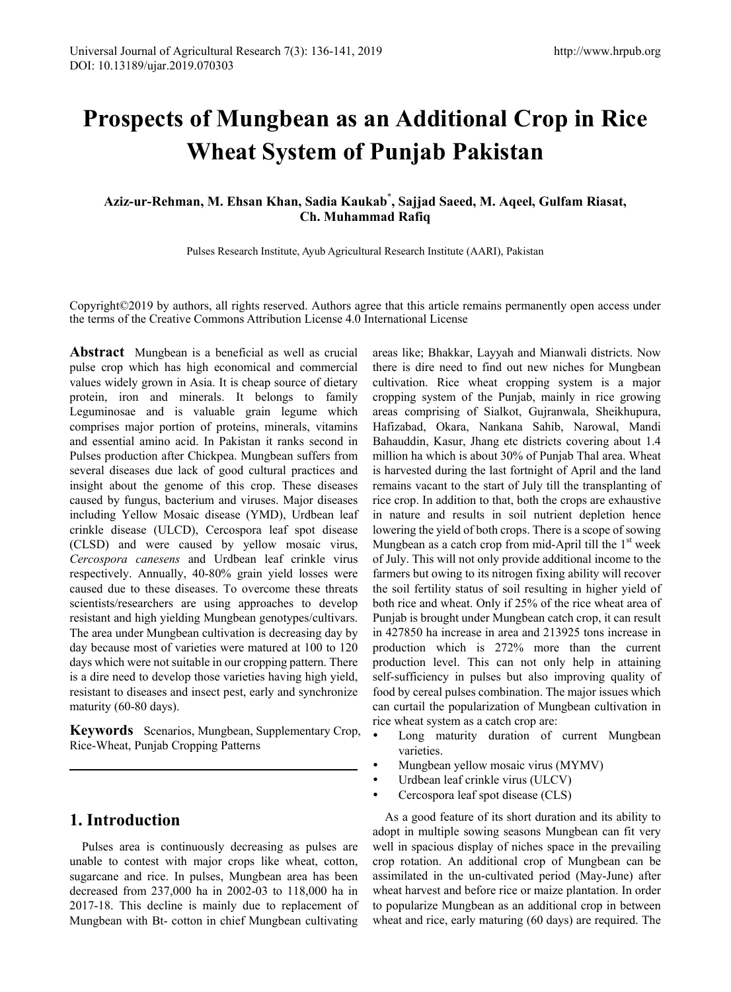# **Prospects of Mungbean as an Additional Crop in Rice Wheat System of Punjab Pakistan**

**Aziz-ur-Rehman, M. Ehsan Khan, Sadia Kaukab\* , Sajjad Saeed, M. Aqeel, Gulfam Riasat, Ch. Muhammad Rafiq**

Pulses Research Institute, Ayub Agricultural Research Institute (AARI), Pakistan

Copyright©2019 by authors, all rights reserved. Authors agree that this article remains permanently open access under the terms of the Creative Commons Attribution License 4.0 International License

**Abstract** Mungbean is a beneficial as well as crucial pulse crop which has high economical and commercial values widely grown in Asia. It is cheap source of dietary protein, iron and minerals. It belongs to family Leguminosae and is valuable grain legume which comprises major portion of proteins, minerals, vitamins and essential amino acid. In Pakistan it ranks second in Pulses production after Chickpea. Mungbean suffers from several diseases due lack of good cultural practices and insight about the genome of this crop. These diseases caused by fungus, bacterium and viruses. Major diseases including Yellow Mosaic disease (YMD), Urdbean leaf crinkle disease (ULCD), Cercospora leaf spot disease (CLSD) and were caused by yellow mosaic virus, *Cercospora canesens* and Urdbean leaf crinkle virus respectively. Annually, 40-80% grain yield losses were caused due to these diseases. To overcome these threats scientists/researchers are using approaches to develop resistant and high yielding Mungbean genotypes/cultivars. The area under Mungbean cultivation is decreasing day by day because most of varieties were matured at 100 to 120 days which were not suitable in our cropping pattern. There is a dire need to develop those varieties having high yield, resistant to diseases and insect pest, early and synchronize maturity (60-80 days).

**Keywords** Scenarios, Mungbean, Supplementary Crop, Rice-Wheat, Punjab Cropping Patterns

#### **1. Introduction**

Pulses area is continuously decreasing as pulses are unable to contest with major crops like wheat, cotton, sugarcane and rice. In pulses, Mungbean area has been decreased from 237,000 ha in 2002-03 to 118,000 ha in 2017-18. This decline is mainly due to replacement of Mungbean with Bt- cotton in chief Mungbean cultivating

areas like; Bhakkar, Layyah and Mianwali districts. Now there is dire need to find out new niches for Mungbean cultivation. Rice wheat cropping system is a major cropping system of the Punjab, mainly in rice growing areas comprising of Sialkot, Gujranwala, Sheikhupura, Hafizabad, Okara, Nankana Sahib, Narowal, Mandi Bahauddin, Kasur, Jhang etc districts covering about 1.4 million ha which is about 30% of Punjab Thal area. Wheat is harvested during the last fortnight of April and the land remains vacant to the start of July till the transplanting of rice crop. In addition to that, both the crops are exhaustive in nature and results in soil nutrient depletion hence lowering the yield of both crops. There is a scope of sowing Mungbean as a catch crop from mid-April till the  $1<sup>st</sup>$  week of July. This will not only provide additional income to the farmers but owing to its nitrogen fixing ability will recover the soil fertility status of soil resulting in higher yield of both rice and wheat. Only if 25% of the rice wheat area of Punjab is brought under Mungbean catch crop, it can result in 427850 ha increase in area and 213925 tons increase in production which is 272% more than the current production level. This can not only help in attaining self-sufficiency in pulses but also improving quality of food by cereal pulses combination. The major issues which can curtail the popularization of Mungbean cultivation in rice wheat system as a catch crop are:

- Long maturity duration of current Mungbean varieties.
- Mungbean yellow mosaic virus (MYMV)
- Urdbean leaf crinkle virus (ULCV)
- Cercospora leaf spot disease (CLS)

As a good feature of its short duration and its ability to adopt in multiple sowing seasons Mungbean can fit very well in spacious display of niches space in the prevailing crop rotation. An additional crop of Mungbean can be assimilated in the un-cultivated period (May-June) after wheat harvest and before rice or maize plantation. In order to popularize Mungbean as an additional crop in between wheat and rice, early maturing (60 days) are required. The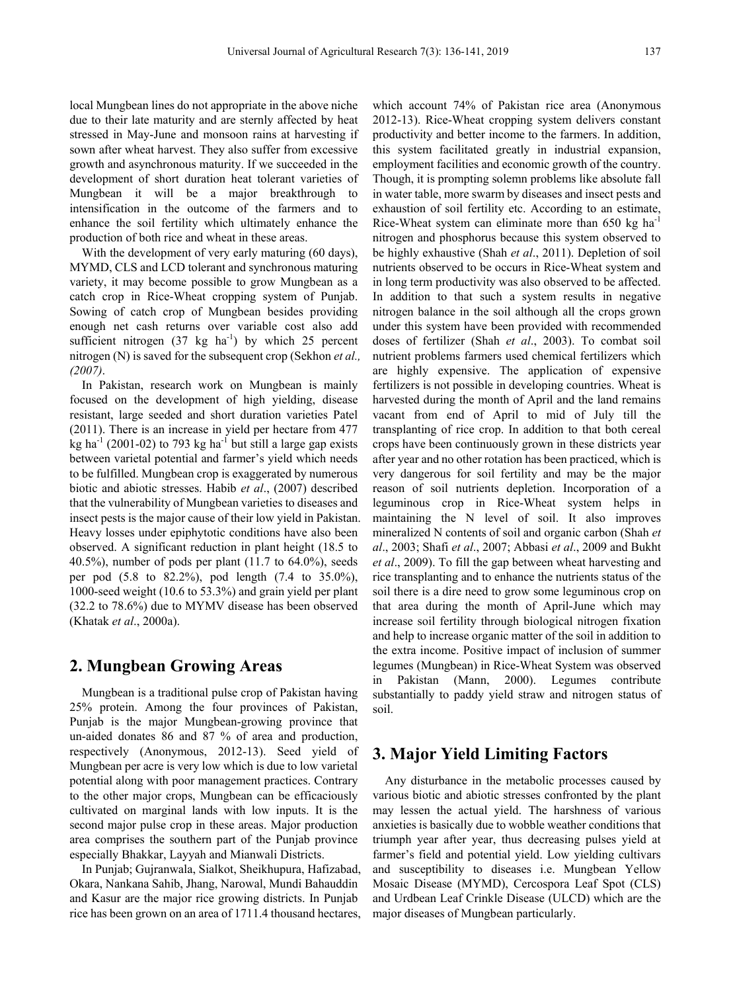local Mungbean lines do not appropriate in the above niche due to their late maturity and are sternly affected by heat stressed in May-June and monsoon rains at harvesting if sown after wheat harvest. They also suffer from excessive growth and asynchronous maturity. If we succeeded in the development of short duration heat tolerant varieties of Mungbean it will be a major breakthrough to intensification in the outcome of the farmers and to enhance the soil fertility which ultimately enhance the production of both rice and wheat in these areas.

With the development of very early maturing (60 days), MYMD, CLS and LCD tolerant and synchronous maturing variety, it may become possible to grow Mungbean as a catch crop in Rice-Wheat cropping system of Punjab. Sowing of catch crop of Mungbean besides providing enough net cash returns over variable cost also add sufficient nitrogen  $(37 \text{ kg} \text{ ha}^{-1})$  by which 25 percent nitrogen (N) is saved for the subsequent crop (Sekhon *et al., (2007)*.

In Pakistan, research work on Mungbean is mainly focused on the development of high yielding, disease resistant, large seeded and short duration varieties Patel (2011). There is an increase in yield per hectare from 477 kg ha<sup>-1</sup> (2001-02) to 793 kg ha<sup>-1</sup> but still a large gap exists between varietal potential and farmer's yield which needs to be fulfilled. Mungbean crop is exaggerated by numerous biotic and abiotic stresses. Habib *et al*., (2007) described that the vulnerability of Mungbean varieties to diseases and insect pests is the major cause of their low yield in Pakistan. Heavy losses under epiphytotic conditions have also been observed. A significant reduction in plant height (18.5 to 40.5%), number of pods per plant (11.7 to 64.0%), seeds per pod (5.8 to 82.2%), pod length (7.4 to 35.0%), 1000-seed weight (10.6 to 53.3%) and grain yield per plant (32.2 to 78.6%) due to MYMV disease has been observed (Khatak *et al*., 2000a).

#### **2. Mungbean Growing Areas**

Mungbean is a traditional pulse crop of Pakistan having 25% protein. Among the four provinces of Pakistan, Punjab is the major Mungbean-growing province that un-aided donates 86 and 87 % of area and production, respectively (Anonymous, 2012-13). Seed yield of Mungbean per acre is very low which is due to low varietal potential along with poor management practices. Contrary to the other major crops, Mungbean can be efficaciously cultivated on marginal lands with low inputs. It is the second major pulse crop in these areas. Major production area comprises the southern part of the Punjab province especially Bhakkar, Layyah and Mianwali Districts.

In Punjab; Gujranwala, Sialkot, Sheikhupura, Hafizabad, Okara, Nankana Sahib, Jhang, Narowal, Mundi Bahauddin and Kasur are the major rice growing districts. In Punjab rice has been grown on an area of 1711.4 thousand hectares,

which account 74% of Pakistan rice area (Anonymous 2012-13). Rice-Wheat cropping system delivers constant productivity and better income to the farmers. In addition, this system facilitated greatly in industrial expansion, employment facilities and economic growth of the country. Though, it is prompting solemn problems like absolute fall in water table, more swarm by diseases and insect pests and exhaustion of soil fertility etc. According to an estimate, Rice-Wheat system can eliminate more than 650 kg ha<sup>-1</sup> nitrogen and phosphorus because this system observed to be highly exhaustive (Shah *et al*., 2011). Depletion of soil nutrients observed to be occurs in Rice-Wheat system and in long term productivity was also observed to be affected. In addition to that such a system results in negative nitrogen balance in the soil although all the crops grown under this system have been provided with recommended doses of fertilizer (Shah *et al*., 2003). To combat soil nutrient problems farmers used chemical fertilizers which are highly expensive. The application of expensive fertilizers is not possible in developing countries. Wheat is harvested during the month of April and the land remains vacant from end of April to mid of July till the transplanting of rice crop. In addition to that both cereal crops have been continuously grown in these districts year after year and no other rotation has been practiced, which is very dangerous for soil fertility and may be the major reason of soil nutrients depletion. Incorporation of a leguminous crop in Rice-Wheat system helps in maintaining the N level of soil. It also improves mineralized N contents of soil and organic carbon (Shah *et al*., 2003; Shafi *et al*., 2007; Abbasi *et al*., 2009 and Bukht *et al*., 2009). To fill the gap between wheat harvesting and rice transplanting and to enhance the nutrients status of the soil there is a dire need to grow some leguminous crop on that area during the month of April-June which may increase soil fertility through biological nitrogen fixation and help to increase organic matter of the soil in addition to the extra income. Positive impact of inclusion of summer legumes (Mungbean) in Rice-Wheat System was observed in Pakistan (Mann, 2000). Legumes contribute substantially to paddy yield straw and nitrogen status of soil.

## **3. Major Yield Limiting Factors**

Any disturbance in the metabolic processes caused by various biotic and abiotic stresses confronted by the plant may lessen the actual yield. The harshness of various anxieties is basically due to wobble weather conditions that triumph year after year, thus decreasing pulses yield at farmer's field and potential yield. Low yielding cultivars and susceptibility to diseases i.e. Mungbean Yellow Mosaic Disease (MYMD), Cercospora Leaf Spot (CLS) and Urdbean Leaf Crinkle Disease (ULCD) which are the major diseases of Mungbean particularly.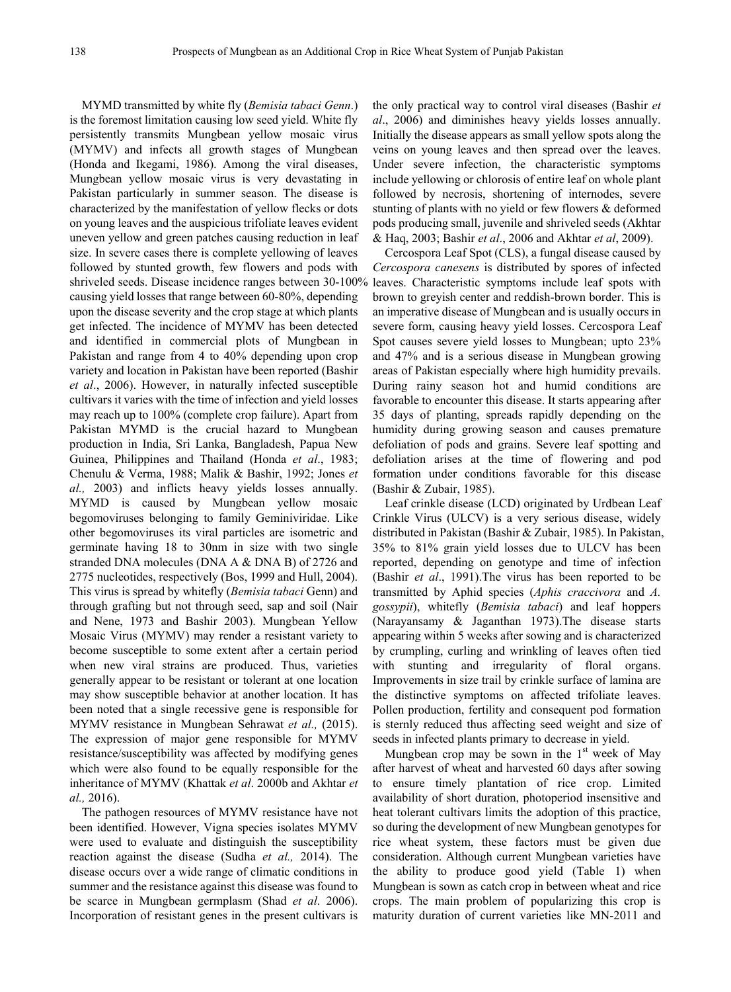MYMD transmitted by white fly (*Bemisia tabaci Genn*.) is the foremost limitation causing low seed yield. White fly persistently transmits Mungbean yellow mosaic virus (MYMV) and infects all growth stages of Mungbean (Honda and Ikegami, 1986). Among the viral diseases, Mungbean yellow mosaic virus is very devastating in Pakistan particularly in summer season. The disease is characterized by the manifestation of yellow flecks or dots on young leaves and the auspicious trifoliate leaves evident uneven yellow and green patches causing reduction in leaf size. In severe cases there is complete yellowing of leaves followed by stunted growth, few flowers and pods with shriveled seeds. Disease incidence ranges between 30-100% leaves. Characteristic symptoms include leaf spots with causing yield losses that range between 60-80%, depending upon the disease severity and the crop stage at which plants get infected. The incidence of MYMV has been detected and identified in commercial plots of Mungbean in Pakistan and range from 4 to 40% depending upon crop variety and location in Pakistan have been reported (Bashir *et al*., 2006). However, in naturally infected susceptible cultivars it varies with the time of infection and yield losses may reach up to 100% (complete crop failure). Apart from Pakistan MYMD is the crucial hazard to Mungbean production in India, Sri Lanka, Bangladesh, Papua New Guinea, Philippines and Thailand (Honda *et al*., 1983; Chenulu & Verma, 1988; Malik & Bashir, 1992; Jones *et al.,* 2003) and inflicts heavy yields losses annually. MYMD is caused by Mungbean yellow mosaic begomoviruses belonging to family Geminiviridae. Like other begomoviruses its viral particles are isometric and germinate having 18 to 30nm in size with two single stranded DNA molecules (DNA A & DNA B) of 2726 and 2775 nucleotides, respectively (Bos, 1999 and Hull, 2004). This virus is spread by whitefly (*Bemisia tabaci* Genn) and through grafting but not through seed, sap and soil (Nair and Nene, 1973 and Bashir 2003). Mungbean Yellow Mosaic Virus (MYMV) may render a resistant variety to become susceptible to some extent after a certain period when new viral strains are produced. Thus, varieties generally appear to be resistant or tolerant at one location may show susceptible behavior at another location. It has been noted that a single recessive gene is responsible for MYMV resistance in Mungbean Sehrawat *et al.,* (2015). The expression of major gene responsible for MYMV resistance/susceptibility was affected by modifying genes which were also found to be equally responsible for the inheritance of MYMV (Khattak *et al*. 2000b and Akhtar *et al.,* 2016).

The pathogen resources of MYMV resistance have not been identified. However, Vigna species isolates MYMV were used to evaluate and distinguish the susceptibility reaction against the disease (Sudha *et al.,* 2014). The disease occurs over a wide range of climatic conditions in summer and the resistance against this disease was found to be scarce in Mungbean germplasm (Shad *et al*. 2006). Incorporation of resistant genes in the present cultivars is

the only practical way to control viral diseases (Bashir *et al*., 2006) and diminishes heavy yields losses annually. Initially the disease appears as small yellow spots along the veins on young leaves and then spread over the leaves. Under severe infection, the characteristic symptoms include yellowing or chlorosis of entire leaf on whole plant followed by necrosis, shortening of internodes, severe stunting of plants with no yield or few flowers & deformed pods producing small, juvenile and shriveled seeds (Akhtar & Haq, 2003; Bashir *et al*., 2006 and Akhtar *et al*, 2009).

Cercospora Leaf Spot (CLS), a fungal disease caused by *Cercospora canesens* is distributed by spores of infected brown to greyish center and reddish-brown border. This is an imperative disease of Mungbean and is usually occurs in severe form, causing heavy yield losses. Cercospora Leaf Spot causes severe yield losses to Mungbean; upto 23% and 47% and is a serious disease in Mungbean growing areas of Pakistan especially where high humidity prevails. During rainy season hot and humid conditions are favorable to encounter this disease. It starts appearing after 35 days of planting, spreads rapidly depending on the humidity during growing season and causes premature defoliation of pods and grains. Severe leaf spotting and defoliation arises at the time of flowering and pod formation under conditions favorable for this disease (Bashir & Zubair, 1985).

Leaf crinkle disease (LCD) originated by Urdbean Leaf Crinkle Virus (ULCV) is a very serious disease, widely distributed in Pakistan (Bashir & Zubair, 1985). In Pakistan, 35% to 81% grain yield losses due to ULCV has been reported, depending on genotype and time of infection (Bashir *et al*., 1991).The virus has been reported to be transmitted by Aphid species (*Aphis craccivora* and *A. gossypii*), whitefly (*Bemisia tabaci*) and leaf hoppers (Narayansamy & Jaganthan 1973).The disease starts appearing within 5 weeks after sowing and is characterized by crumpling, curling and wrinkling of leaves often tied with stunting and irregularity of floral organs. Improvements in size trail by crinkle surface of lamina are the distinctive symptoms on affected trifoliate leaves. Pollen production, fertility and consequent pod formation is sternly reduced thus affecting seed weight and size of seeds in infected plants primary to decrease in yield.

Mungbean crop may be sown in the  $1<sup>st</sup>$  week of May after harvest of wheat and harvested 60 days after sowing to ensure timely plantation of rice crop. Limited availability of short duration, photoperiod insensitive and heat tolerant cultivars limits the adoption of this practice, so during the development of new Mungbean genotypes for rice wheat system, these factors must be given due consideration. Although current Mungbean varieties have the ability to produce good yield (Table 1) when Mungbean is sown as catch crop in between wheat and rice crops. The main problem of popularizing this crop is maturity duration of current varieties like MN-2011 and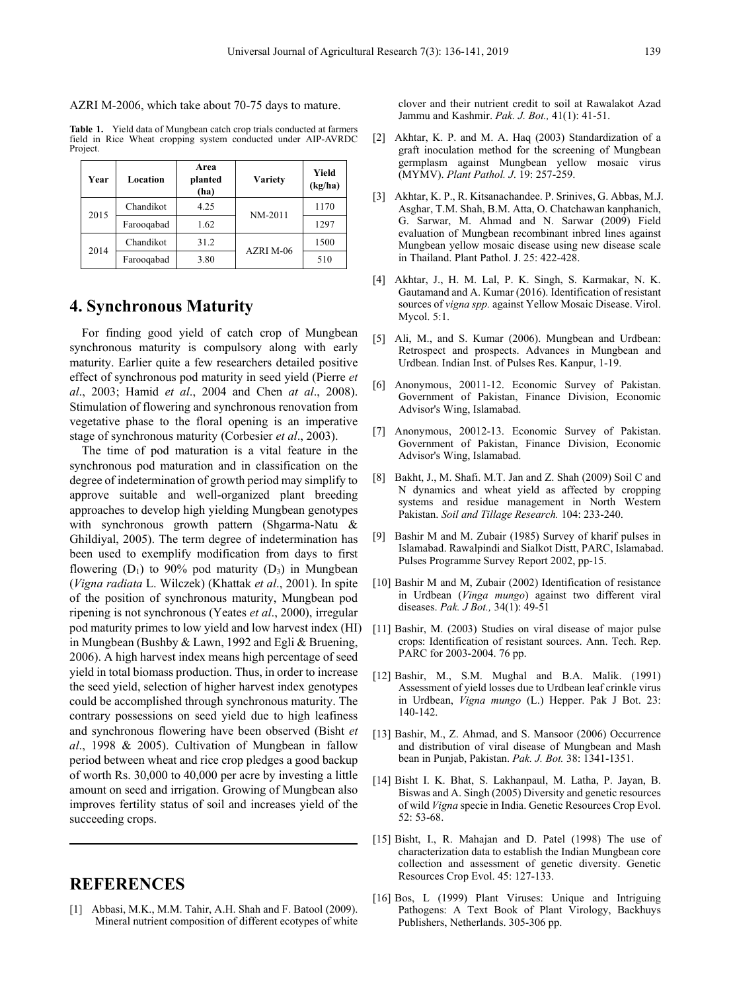AZRI M-2006, which take about 70-75 days to mature.

**Table 1.** Yield data of Mungbean catch crop trials conducted at farmers field in Rice Wheat cropping system conducted under AIP-AVRDC Project.

| Year | Location   | Area<br>planted<br>(ha) | <b>Variety</b> | Yield<br>(kg/ha) |
|------|------------|-------------------------|----------------|------------------|
| 2015 | Chandikot  | 4.25                    | NM-2011        | 1170             |
|      | Farooqabad | 1.62                    |                | 1297             |
| 2014 | Chandikot  | 31.2                    | AZRI M-06      | 1500             |
|      | Farooqabad | 3.80                    |                | 510              |

## **4. Synchronous Maturity**

For finding good yield of catch crop of Mungbean synchronous maturity is compulsory along with early maturity. Earlier quite a few researchers detailed positive effect of synchronous pod maturity in seed yield (Pierre *et al*., 2003; Hamid *et al*., 2004 and Chen *at al*., 2008). Stimulation of flowering and synchronous renovation from vegetative phase to the floral opening is an imperative stage of synchronous maturity (Corbesier *et al*., 2003).

The time of pod maturation is a vital feature in the synchronous pod maturation and in classification on the degree of indetermination of growth period may simplify to approve suitable and well-organized plant breeding approaches to develop high yielding Mungbean genotypes with synchronous growth pattern (Shgarma-Natu & Ghildiyal, 2005). The term degree of indetermination has been used to exemplify modification from days to first flowering  $(D_1)$  to 90% pod maturity  $(D_3)$  in Mungbean (*Vigna radiata* L. Wilczek) (Khattak *et al*., 2001). In spite of the position of synchronous maturity, Mungbean pod ripening is not synchronous (Yeates *et al*., 2000), irregular pod maturity primes to low yield and low harvest index (HI) in Mungbean (Bushby & Lawn, 1992 and Egli & Bruening, 2006). A high harvest index means high percentage of seed yield in total biomass production. Thus, in order to increase the seed yield, selection of higher harvest index genotypes could be accomplished through synchronous maturity. The contrary possessions on seed yield due to high leafiness and synchronous flowering have been observed (Bisht *et al*., 1998 & 2005). Cultivation of Mungbean in fallow period between wheat and rice crop pledges a good backup of worth Rs. 30,000 to 40,000 per acre by investing a little amount on seed and irrigation. Growing of Mungbean also improves fertility status of soil and increases yield of the succeeding crops.

## **REFERENCES**

[1] Abbasi, M.K., M.M. Tahir, A.H. Shah and F. Batool (2009). Mineral nutrient composition of different ecotypes of white clover and their nutrient credit to soil at Rawalakot Azad Jammu and Kashmir. *Pak. J. Bot.,* 41(1): 41-51.

- [2] Akhtar, K. P. and M. A. Haq (2003) Standardization of a graft inoculation method for the screening of Mungbean germplasm against Mungbean yellow mosaic virus (MYMV). *Plant Pathol. J*. 19: 257-259.
- [3] Akhtar, K. P., R. Kitsanachandee. P. Srinives, G. Abbas, M.J. Asghar, T.M. Shah, B.M. Atta, O. Chatchawan kanphanich, G. Sarwar, M. Ahmad and N. Sarwar (2009) Field evaluation of Mungbean recombinant inbred lines against Mungbean yellow mosaic disease using new disease scale in Thailand. Plant Pathol. J. 25: 422-428.
- [4] Akhtar, J., H. M. Lal, P. K. Singh, S. Karmakar, N. K. Gautamand and A. Kumar (2016). Identification of resistant sources of *vigna spp.* against Yellow Mosaic Disease. Virol. Mycol. 5:1.
- [5] Ali, M., and S. Kumar (2006). Mungbean and Urdbean: Retrospect and prospects. Advances in Mungbean and Urdbean. Indian Inst. of Pulses Res. Kanpur, 1-19.
- [6] Anonymous, 20011-12. Economic Survey of Pakistan. Government of Pakistan, Finance Division, Economic Advisor's Wing, Islamabad.
- [7] Anonymous, 20012-13. Economic Survey of Pakistan. Government of Pakistan, Finance Division, Economic Advisor's Wing, Islamabad.
- [8] Bakht, J., M. Shafi. M.T. Jan and Z. Shah (2009) Soil C and N dynamics and wheat yield as affected by cropping systems and residue management in North Western Pakistan. *Soil and Tillage Research.* 104: 233-240.
- [9] Bashir M and M. Zubair (1985) Survey of kharif pulses in Islamabad. Rawalpindi and Sialkot Distt, PARC, Islamabad. Pulses Programme Survey Report 2002, pp-15.
- [10] Bashir M and M, Zubair (2002) Identification of resistance in Urdbean (*Vinga mungo*) against two different viral diseases. *Pak. J Bot.,* 34(1): 49-51
- [11] Bashir, M. (2003) Studies on viral disease of major pulse crops: Identification of resistant sources. Ann. Tech. Rep. PARC for 2003-2004. 76 pp.
- [12] Bashir, M., S.M. Mughal and B.A. Malik. (1991) Assessment of yield losses due to Urdbean leaf crinkle virus in Urdbean, *Vigna mungo* (L.) Hepper. Pak J Bot. 23: 140-142.
- [13] Bashir, M., Z. Ahmad, and S. Mansoor (2006) Occurrence and distribution of viral disease of Mungbean and Mash bean in Punjab, Pakistan. *Pak. J. Bot.* 38: 1341-1351.
- [14] Bisht I. K. Bhat, S. Lakhanpaul, M. Latha, P. Jayan, B. Biswas and A. Singh (2005) Diversity and genetic resources of wild *Vigna* specie in India. Genetic Resources Crop Evol. 52: 53-68.
- [15] Bisht, I., R. Mahajan and D. Patel (1998) The use of characterization data to establish the Indian Mungbean core collection and assessment of genetic diversity. Genetic Resources Crop Evol. 45: 127-133.
- [16] Bos, L (1999) Plant Viruses: Unique and Intriguing Pathogens: A Text Book of Plant Virology, Backhuys Publishers, Netherlands. 305-306 pp.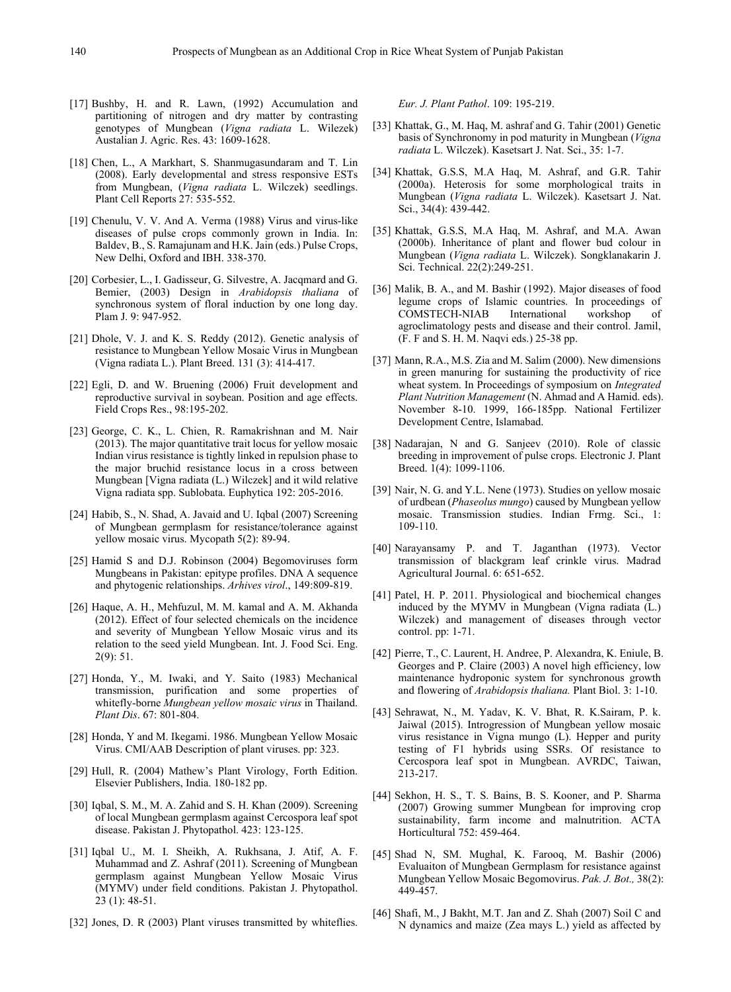- [17] Bushby, H. and R. Lawn, (1992) Accumulation and partitioning of nitrogen and dry matter by contrasting genotypes of Mungbean (*Vigna radiata* L. Wilezek) Austalian J. Agric. Res. 43: 1609-1628.
- [18] Chen, L., A Markhart, S. Shanmugasundaram and T. Lin (2008). Early developmental and stress responsive ESTs from Mungbean, (*Vigna radiata* L. Wilczek) seedlings. Plant Cell Reports 27: 535-552.
- [19] Chenulu, V. V. And A. Verma (1988) Virus and virus-like diseases of pulse crops commonly grown in India. In: Baldev, B., S. Ramajunam and H.K. Jain (eds.) Pulse Crops, New Delhi, Oxford and IBH. 338-370.
- [20] Corbesier, L., I. Gadisseur, G. Silvestre, A. Jacqmard and G. Bemier, (2003) Design in *Arabidopsis thaliana* of synchronous system of floral induction by one long day. Plam J. 9: 947-952.
- [21] Dhole, V. J. and K. S. Reddy (2012). Genetic analysis of resistance to Mungbean Yellow Mosaic Virus in Mungbean (Vigna radiata L.). Plant Breed. 131 (3): 414-417.
- [22] Egli, D. and W. Bruening (2006) Fruit development and reproductive survival in soybean. Position and age effects. Field Crops Res., 98:195-202.
- [23] George, C. K., L. Chien, R. Ramakrishnan and M. Nair (2013). The major quantitative trait locus for yellow mosaic Indian virus resistance is tightly linked in repulsion phase to the major bruchid resistance locus in a cross between Mungbean [Vigna radiata (L.) Wilczek] and it wild relative Vigna radiata spp. Sublobata. Euphytica 192: 205-2016.
- [24] Habib, S., N. Shad, A. Javaid and U. Iqbal (2007) Screening of Mungbean germplasm for resistance/tolerance against yellow mosaic virus. Mycopath 5(2): 89-94.
- [25] Hamid S and D.J. Robinson (2004) Begomoviruses form Mungbeans in Pakistan: epitype profiles. DNA A sequence and phytogenic relationships. *Arhives virol*., 149:809-819.
- [26] Haque, A. H., Mehfuzul, M. M. kamal and A. M. Akhanda (2012). Effect of four selected chemicals on the incidence and severity of Mungbean Yellow Mosaic virus and its relation to the seed yield Mungbean. Int. J. Food Sci. Eng. 2(9): 51.
- [27] Honda, Y., M. Iwaki, and Y. Saito (1983) Mechanical transmission, purification and some properties of whitefly-borne *Mungbean yellow mosaic virus* in Thailand. *Plant Dis*. 67: 801-804.
- [28] Honda, Y and M. Ikegami. 1986. Mungbean Yellow Mosaic Virus. CMI/AAB Description of plant viruses. pp: 323.
- [29] Hull, R. (2004) Mathew's Plant Virology, Forth Edition. Elsevier Publishers, India. 180-182 pp.
- [30] Iqbal, S. M., M. A. Zahid and S. H. Khan (2009). Screening of local Mungbean germplasm against Cercospora leaf spot disease. Pakistan J. Phytopathol. 423: 123-125.
- [31] Iqbal U., M. I. Sheikh, A. Rukhsana, J. Atif, A. F. Muhammad and Z. Ashraf (2011). Screening of Mungbean germplasm against Mungbean Yellow Mosaic Virus (MYMV) under field conditions. Pakistan J. Phytopathol. 23 (1): 48-51.
- [32] Jones, D. R (2003) Plant viruses transmitted by whiteflies.

*Eur. J. Plant Pathol*. 109: 195-219.

- [33] Khattak, G., M. Haq, M. ashraf and G. Tahir (2001) Genetic basis of Synchronomy in pod maturity in Mungbean (*Vigna radiata* L. Wilczek). Kasetsart J. Nat. Sci., 35: 1-7.
- [34] Khattak, G.S.S, M.A Haq, M. Ashraf, and G.R. Tahir (2000a). Heterosis for some morphological traits in Mungbean (*Vigna radiata* L. Wilczek). Kasetsart J. Nat. Sci., 34(4): 439-442.
- [35] Khattak, G.S.S, M.A Haq, M. Ashraf, and M.A. Awan (2000b). Inheritance of plant and flower bud colour in Mungbean (*Vigna radiata* L. Wilczek). Songklanakarin J. Sci. Technical. 22(2):249-251.
- [36] Malik, B. A., and M. Bashir (1992). Major diseases of food legume crops of Islamic countries. In proceedings of COMSTECH-NIAB agroclimatology pests and disease and their control. Jamil, (F. F and S. H. M. Naqvi eds.) 25-38 pp.
- [37] Mann, R.A., M.S. Zia and M. Salim (2000). New dimensions in green manuring for sustaining the productivity of rice wheat system. In Proceedings of symposium on *Integrated Plant Nutrition Management* (N. Ahmad and A Hamid. eds). November 8-10. 1999, 166-185pp. National Fertilizer Development Centre, Islamabad.
- [38] Nadarajan, N and G. Sanjeev (2010). Role of classic breeding in improvement of pulse crops. Electronic J. Plant Breed. 1(4): 1099-1106.
- [39] Nair, N. G. and Y.L. Nene (1973). Studies on yellow mosaic of urdbean (*Phaseolus mungo*) caused by Mungbean yellow mosaic. Transmission studies. Indian Frmg. Sci., 1: 109-110.
- [40] Narayansamy P. and T. Jaganthan (1973). Vector transmission of blackgram leaf crinkle virus. Madrad Agricultural Journal. 6: 651-652.
- [41] Patel, H. P. 2011. Physiological and biochemical changes induced by the MYMV in Mungbean (Vigna radiata (L.) Wilczek) and management of diseases through vector control. pp: 1-71.
- [42] Pierre, T., C. Laurent, H. Andree, P. Alexandra, K. Eniule, B. Georges and P. Claire (2003) A novel high efficiency, low maintenance hydroponic system for synchronous growth and flowering of *Arabidopsis thaliana.* Plant Biol. 3: 1-10.
- [43] Sehrawat, N., M. Yadav, K. V. Bhat, R. K.Sairam, P. k. Jaiwal (2015). Introgression of Mungbean yellow mosaic virus resistance in Vigna mungo (L). Hepper and purity testing of F1 hybrids using SSRs. Of resistance to Cercospora leaf spot in Mungbean. AVRDC, Taiwan, 213-217.
- [44] Sekhon, H. S., T. S. Bains, B. S. Kooner, and P. Sharma (2007) Growing summer Mungbean for improving crop sustainability, farm income and malnutrition. ACTA Horticultural 752: 459-464.
- [45] Shad N, SM. Mughal, K. Farooq, M. Bashir (2006) Evaluaiton of Mungbean Germplasm for resistance against Mungbean Yellow Mosaic Begomovirus. *Pak. J. Bot.,* 38(2): 449-457.
- [46] Shafi, M., J Bakht, M.T. Jan and Z. Shah (2007) Soil C and N dynamics and maize (Zea mays L.) yield as affected by